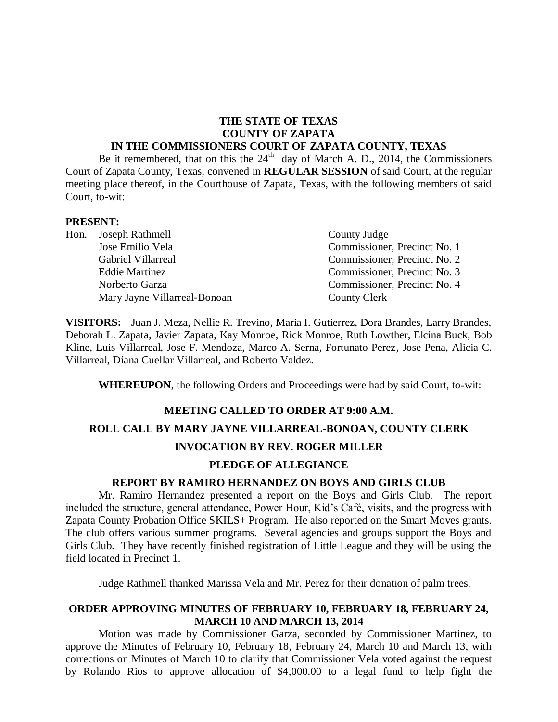# **THE STATE OF TEXAS COUNTY OF ZAPATA**

### **IN THE COMMISSIONERS COURT OF ZAPATA COUNTY, TEXAS**

Be it remembered, that on this the  $24<sup>th</sup>$  day of March A. D., 2014, the Commissioners Court of Zapata County, Texas, convened in **REGULAR SESSION** of said Court, at the regular meeting place thereof, in the Courthouse of Zapata, Texas, with the following members of said Court, to-wit:

#### **PRESENT:**

| Hon. Joseph Rathmell         | County Judge                 |
|------------------------------|------------------------------|
| Jose Emilio Vela             | Commissioner, Precinct No. 1 |
| <b>Gabriel Villarreal</b>    | Commissioner, Precinct No. 2 |
| <b>Eddie Martinez</b>        | Commissioner, Precinct No. 3 |
| Norberto Garza               | Commissioner, Precinct No. 4 |
| Mary Jayne Villarreal-Bonoan | County Clerk                 |

**VISITORS:** Juan J. Meza, Nellie R. Trevino, Maria I. Gutierrez, Dora Brandes, Larry Brandes, Deborah L. Zapata, Javier Zapata, Kay Monroe, Rick Monroe, Ruth Lowther, Elcina Buck, Bob Kline, Luis Villarreal, Jose F. Mendoza, Marco A. Serna, Fortunato Perez, Jose Pena, Alicia C. Villarreal, Diana Cuellar Villarreal, and Roberto Valdez.

**WHEREUPON**, the following Orders and Proceedings were had by said Court, to-wit:

### **MEETING CALLED TO ORDER AT 9:00 A.M.**

# **ROLL CALL BY MARY JAYNE VILLARREAL-BONOAN, COUNTY CLERK INVOCATION BY REV. ROGER MILLER**

# **PLEDGE OF ALLEGIANCE**

#### **REPORT BY RAMIRO HERNANDEZ ON BOYS AND GIRLS CLUB**

Mr. Ramiro Hernandez presented a report on the Boys and Girls Club. The report included the structure, general attendance, Power Hour, Kid's Café, visits, and the progress with Zapata County Probation Office SKILS+ Program. He also reported on the Smart Moves grants. The club offers various summer programs. Several agencies and groups support the Boys and Girls Club. They have recently finished registration of Little League and they will be using the field located in Precinct 1.

Judge Rathmell thanked Marissa Vela and Mr. Perez for their donation of palm trees.

### **ORDER APPROVING MINUTES OF FEBRUARY 10, FEBRUARY 18, FEBRUARY 24, MARCH 10 AND MARCH 13, 2014**

Motion was made by Commissioner Garza, seconded by Commissioner Martinez, to approve the Minutes of February 10, February 18, February 24, March 10 and March 13, with corrections on Minutes of March 10 to clarify that Commissioner Vela voted against the request by Rolando Rios to approve allocation of \$4,000.00 to a legal fund to help fight the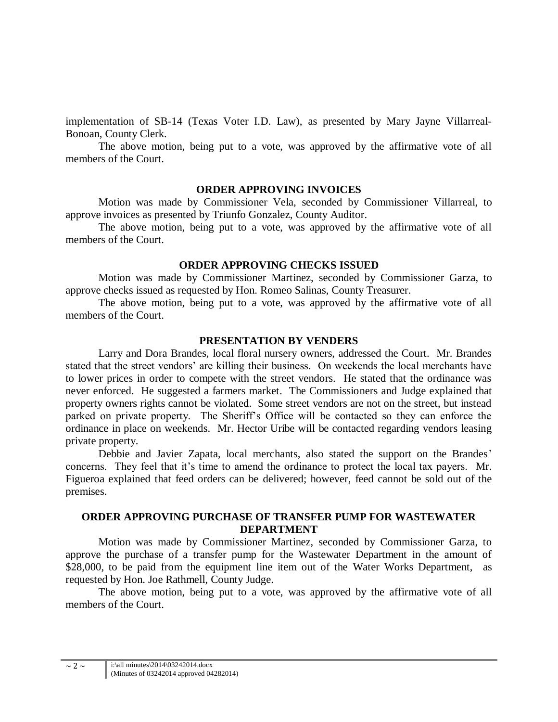implementation of SB-14 (Texas Voter I.D. Law), as presented by Mary Jayne Villarreal-Bonoan, County Clerk.

The above motion, being put to a vote, was approved by the affirmative vote of all members of the Court.

### **ORDER APPROVING INVOICES**

Motion was made by Commissioner Vela, seconded by Commissioner Villarreal, to approve invoices as presented by Triunfo Gonzalez, County Auditor.

The above motion, being put to a vote, was approved by the affirmative vote of all members of the Court.

### **ORDER APPROVING CHECKS ISSUED**

Motion was made by Commissioner Martinez, seconded by Commissioner Garza, to approve checks issued as requested by Hon. Romeo Salinas, County Treasurer.

The above motion, being put to a vote, was approved by the affirmative vote of all members of the Court.

#### **PRESENTATION BY VENDERS**

Larry and Dora Brandes, local floral nursery owners, addressed the Court. Mr. Brandes stated that the street vendors' are killing their business. On weekends the local merchants have to lower prices in order to compete with the street vendors. He stated that the ordinance was never enforced. He suggested a farmers market. The Commissioners and Judge explained that property owners rights cannot be violated. Some street vendors are not on the street, but instead parked on private property. The Sheriff's Office will be contacted so they can enforce the ordinance in place on weekends. Mr. Hector Uribe will be contacted regarding vendors leasing private property.

Debbie and Javier Zapata, local merchants, also stated the support on the Brandes' concerns. They feel that it's time to amend the ordinance to protect the local tax payers. Mr. Figueroa explained that feed orders can be delivered; however, feed cannot be sold out of the premises.

# **ORDER APPROVING PURCHASE OF TRANSFER PUMP FOR WASTEWATER DEPARTMENT**

Motion was made by Commissioner Martinez, seconded by Commissioner Garza, to approve the purchase of a transfer pump for the Wastewater Department in the amount of \$28,000, to be paid from the equipment line item out of the Water Works Department, as requested by Hon. Joe Rathmell, County Judge.

The above motion, being put to a vote, was approved by the affirmative vote of all members of the Court.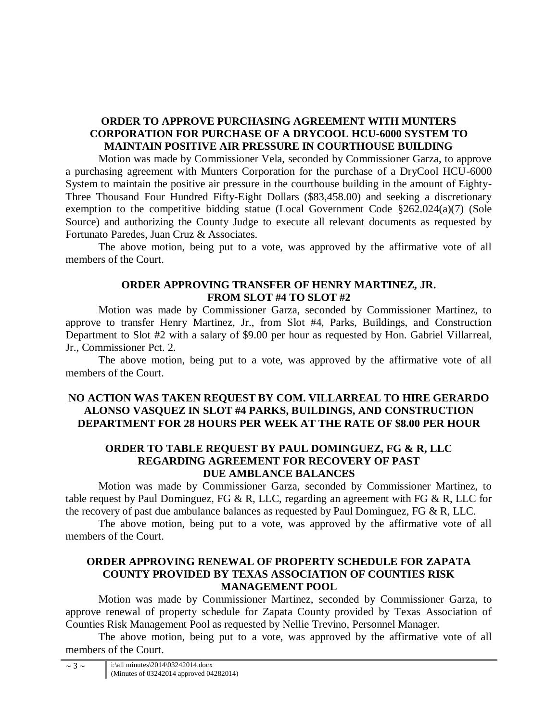# **ORDER TO APPROVE PURCHASING AGREEMENT WITH MUNTERS CORPORATION FOR PURCHASE OF A DRYCOOL HCU-6000 SYSTEM TO MAINTAIN POSITIVE AIR PRESSURE IN COURTHOUSE BUILDING**

Motion was made by Commissioner Vela, seconded by Commissioner Garza, to approve a purchasing agreement with Munters Corporation for the purchase of a DryCool HCU-6000 System to maintain the positive air pressure in the courthouse building in the amount of Eighty-Three Thousand Four Hundred Fifty-Eight Dollars (\$83,458.00) and seeking a discretionary exemption to the competitive bidding statue (Local Government Code §262.024(a)(7) (Sole Source) and authorizing the County Judge to execute all relevant documents as requested by Fortunato Paredes, Juan Cruz & Associates.

The above motion, being put to a vote, was approved by the affirmative vote of all members of the Court.

# **ORDER APPROVING TRANSFER OF HENRY MARTINEZ, JR. FROM SLOT #4 TO SLOT #2**

Motion was made by Commissioner Garza, seconded by Commissioner Martinez, to approve to transfer Henry Martinez, Jr., from Slot #4, Parks, Buildings, and Construction Department to Slot #2 with a salary of \$9.00 per hour as requested by Hon. Gabriel Villarreal, Jr., Commissioner Pct. 2.

The above motion, being put to a vote, was approved by the affirmative vote of all members of the Court.

# **NO ACTION WAS TAKEN REQUEST BY COM. VILLARREAL TO HIRE GERARDO ALONSO VASQUEZ IN SLOT #4 PARKS, BUILDINGS, AND CONSTRUCTION DEPARTMENT FOR 28 HOURS PER WEEK AT THE RATE OF \$8.00 PER HOUR**

### **ORDER TO TABLE REQUEST BY PAUL DOMINGUEZ, FG & R, LLC REGARDING AGREEMENT FOR RECOVERY OF PAST DUE AMBLANCE BALANCES**

Motion was made by Commissioner Garza, seconded by Commissioner Martinez, to table request by Paul Dominguez, FG & R, LLC, regarding an agreement with FG & R, LLC for the recovery of past due ambulance balances as requested by Paul Dominguez, FG & R, LLC.

The above motion, being put to a vote, was approved by the affirmative vote of all members of the Court.

## **ORDER APPROVING RENEWAL OF PROPERTY SCHEDULE FOR ZAPATA COUNTY PROVIDED BY TEXAS ASSOCIATION OF COUNTIES RISK MANAGEMENT POOL**

Motion was made by Commissioner Martinez, seconded by Commissioner Garza, to approve renewal of property schedule for Zapata County provided by Texas Association of Counties Risk Management Pool as requested by Nellie Trevino, Personnel Manager.

The above motion, being put to a vote, was approved by the affirmative vote of all members of the Court.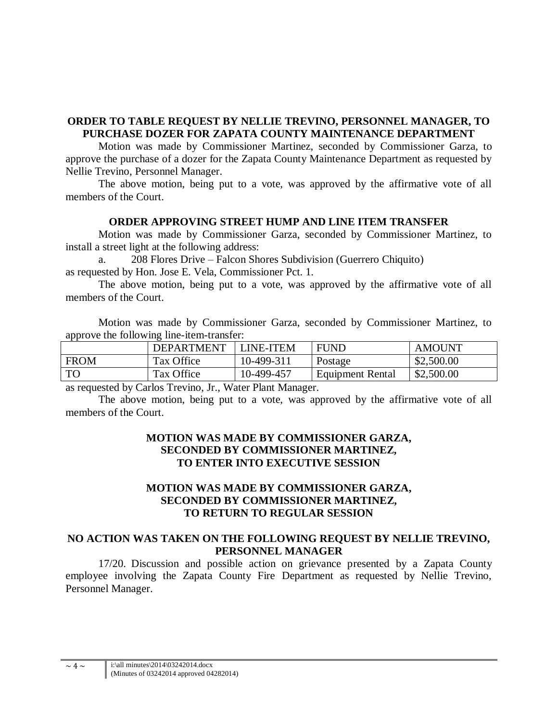## **ORDER TO TABLE REQUEST BY NELLIE TREVINO, PERSONNEL MANAGER, TO PURCHASE DOZER FOR ZAPATA COUNTY MAINTENANCE DEPARTMENT**

Motion was made by Commissioner Martinez, seconded by Commissioner Garza, to approve the purchase of a dozer for the Zapata County Maintenance Department as requested by Nellie Trevino, Personnel Manager.

The above motion, being put to a vote, was approved by the affirmative vote of all members of the Court.

### **ORDER APPROVING STREET HUMP AND LINE ITEM TRANSFER**

Motion was made by Commissioner Garza, seconded by Commissioner Martinez, to install a street light at the following address:

a. 208 Flores Drive – Falcon Shores Subdivision (Guerrero Chiquito) as requested by Hon. Jose E. Vela, Commissioner Pct. 1.

The above motion, being put to a vote, was approved by the affirmative vote of all members of the Court.

Motion was made by Commissioner Garza, seconded by Commissioner Martinez, to approve the following line-item-transfer:

|             | <b>DEPARTMENT</b> | LINE-ITEM  | <b>FUND</b>      | <b>AMOUNT</b> |
|-------------|-------------------|------------|------------------|---------------|
| <b>FROM</b> | Tax Office        | 10-499-311 | Postage          | \$2,500.00    |
| TO          | Tax Office        | 10-499-457 | Equipment Rental | \$2,500.00    |

as requested by Carlos Trevino, Jr., Water Plant Manager.

The above motion, being put to a vote, was approved by the affirmative vote of all members of the Court.

# **MOTION WAS MADE BY COMMISSIONER GARZA, SECONDED BY COMMISSIONER MARTINEZ, TO ENTER INTO EXECUTIVE SESSION**

# **MOTION WAS MADE BY COMMISSIONER GARZA, SECONDED BY COMMISSIONER MARTINEZ, TO RETURN TO REGULAR SESSION**

# **NO ACTION WAS TAKEN ON THE FOLLOWING REQUEST BY NELLIE TREVINO, PERSONNEL MANAGER**

17/20. Discussion and possible action on grievance presented by a Zapata County employee involving the Zapata County Fire Department as requested by Nellie Trevino, Personnel Manager.